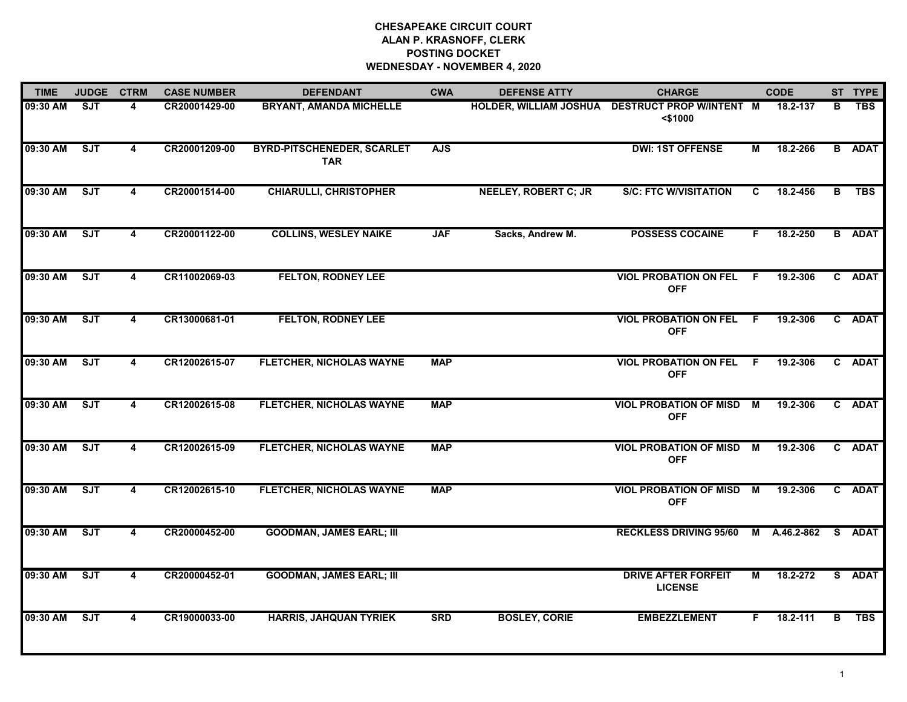# **CHESAPEAKE CIRCUIT COURT ALAN P. KRASNOFF, CLERK POSTING DOCKET WEDNESDAY - NOVEMBER 4, 2020**

| <b>TIME</b>  | JUDGE CTRM |                         | <b>CASE NUMBER</b> | <b>DEFENDANT</b>                                | <b>CWA</b> | <b>DEFENSE ATTY</b>         | <b>CHARGE</b>                                                 |     | <b>CODE</b>  |   | ST TYPE       |
|--------------|------------|-------------------------|--------------------|-------------------------------------------------|------------|-----------------------------|---------------------------------------------------------------|-----|--------------|---|---------------|
| 09:30 AM     | SJT        | 4                       | CR20001429-00      | <b>BRYANT, AMANDA MICHELLE</b>                  |            |                             | HOLDER, WILLIAM JOSHUA DESTRUCT PROP W/INTENT M<br>$<$ \$1000 |     | 18.2-137     | в | <b>TBS</b>    |
| 09:30 AM     | SJT        | 4                       | CR20001209-00      | <b>BYRD-PITSCHENEDER, SCARLET</b><br><b>TAR</b> | <b>AJS</b> |                             | <b>DWI: 1ST OFFENSE</b>                                       | М   | 18.2-266     |   | <b>B</b> ADAT |
| 09:30 AM     | <b>SJT</b> | 4                       | CR20001514-00      | <b>CHIARULLI, CHRISTOPHER</b>                   |            | <b>NEELEY, ROBERT C; JR</b> | <b>S/C: FTC W/VISITATION</b>                                  | C   | 18.2-456     | B | <b>TBS</b>    |
| 09:30 AM     | ST         | 4                       | CR20001122-00      | <b>COLLINS, WESLEY NAIKE</b>                    | <b>JAF</b> | Sacks, Andrew M.            | <b>POSSESS COCAINE</b>                                        | F.  | 18.2-250     |   | <b>B</b> ADAT |
| 09:30 AM     | SJT        | 4                       | CR11002069-03      | <b>FELTON, RODNEY LEE</b>                       |            |                             | <b>VIOL PROBATION ON FEL</b><br><b>OFF</b>                    | - F | 19.2-306     |   | C ADAT        |
| 09:30 AM     | SJT        | 4                       | CR13000681-01      | <b>FELTON, RODNEY LEE</b>                       |            |                             | <b>VIOL PROBATION ON FEL</b><br><b>OFF</b>                    | - F | 19.2-306     |   | C ADAT        |
| 09:30 AM     | SJT        | 4                       | CR12002615-07      | FLETCHER, NICHOLAS WAYNE                        | <b>MAP</b> |                             | <b>VIOL PROBATION ON FEL</b><br><b>OFF</b>                    | F.  | 19.2-306     |   | C ADAT        |
| 09:30 AM     | SJT        | 4                       | CR12002615-08      | <b>FLETCHER, NICHOLAS WAYNE</b>                 | <b>MAP</b> |                             | <b>VIOL PROBATION OF MISD</b><br><b>OFF</b>                   | M   | 19.2-306     |   | C ADAT        |
| 09:30 AM     | SJT        | $\overline{\mathbf{4}}$ | CR12002615-09      | <b>FLETCHER, NICHOLAS WAYNE</b>                 | <b>MAP</b> |                             | <b>VIOL PROBATION OF MISD</b><br><b>OFF</b>                   | M   | 19.2-306     |   | C ADAT        |
| 09:30 AM SJT |            | 4                       | CR12002615-10      | <b>FLETCHER, NICHOLAS WAYNE</b>                 | <b>MAP</b> |                             | <b>VIOL PROBATION OF MISD M</b><br><b>OFF</b>                 |     | 19.2-306     |   | C ADAT        |
| 09:30 AM     | ST         | $\overline{\mathbf{4}}$ | CR20000452-00      | <b>GOODMAN, JAMES EARL; III</b>                 |            |                             | <b>RECKLESS DRIVING 95/60</b>                                 |     | M A.46.2-862 |   | S ADAT        |
| 09:30 AM     | ST         | $\overline{\mathbf{4}}$ | CR20000452-01      | <b>GOODMAN, JAMES EARL; III</b>                 |            |                             | <b>DRIVE AFTER FORFEIT</b><br><b>LICENSE</b>                  | M   | 18.2-272     |   | S ADAT        |
| 09:30 AM     | SJT        | $\overline{\mathbf{4}}$ | CR19000033-00      | <b>HARRIS, JAHQUAN TYRIEK</b>                   | <b>SRD</b> | <b>BOSLEY, CORIE</b>        | <b>EMBEZZLEMENT</b>                                           | F.  | 18.2-111     | в | <b>TBS</b>    |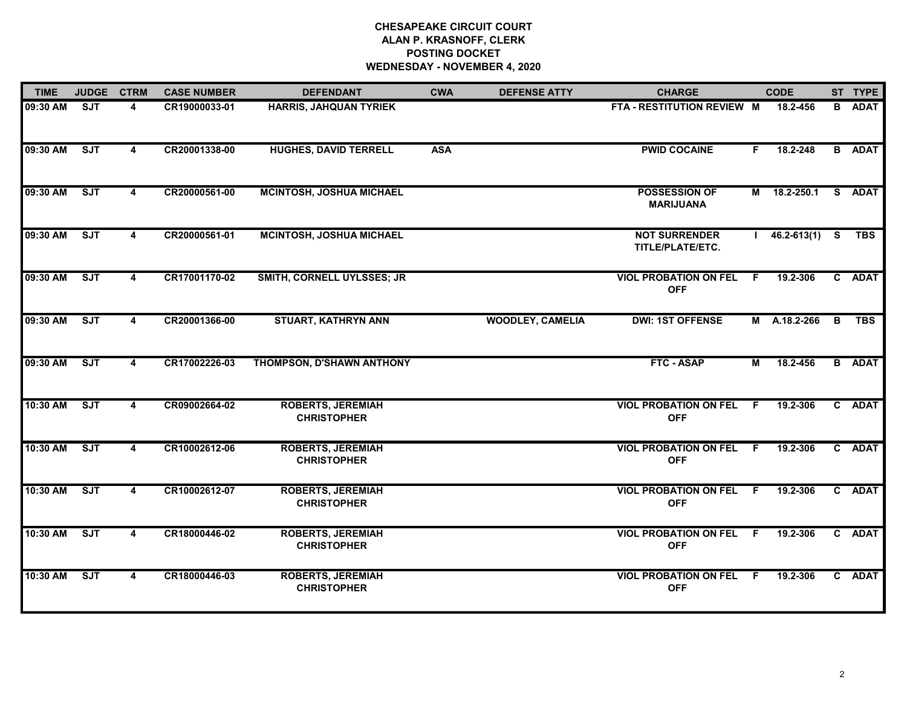# **CHESAPEAKE CIRCUIT COURT ALAN P. KRASNOFF, CLERK POSTING DOCKET WEDNESDAY - NOVEMBER 4, 2020**

| <b>TIME</b> | <b>JUDGE</b> | <b>CTRM</b> | <b>CASE NUMBER</b> | <b>DEFENDANT</b>                               | <b>CWA</b> | <b>DEFENSE ATTY</b>     | <b>CHARGE</b>                              |     | <b>CODE</b>     |          | ST TYPE       |
|-------------|--------------|-------------|--------------------|------------------------------------------------|------------|-------------------------|--------------------------------------------|-----|-----------------|----------|---------------|
| 09:30 AM    | <b>SJT</b>   | 4           | CR19000033-01      | <b>HARRIS, JAHQUAN TYRIEK</b>                  |            |                         | FTA - RESTITUTION REVIEW M                 |     | 18.2-456        |          | <b>B</b> ADAT |
| 09:30 AM    | SJT          | 4           | CR20001338-00      | <b>HUGHES, DAVID TERRELL</b>                   | <b>ASA</b> |                         | <b>PWID COCAINE</b>                        | F.  | 18.2-248        |          | <b>B</b> ADAT |
| 09:30 AM    | ST           | 4           | CR20000561-00      | <b>MCINTOSH, JOSHUA MICHAEL</b>                |            |                         | <b>POSSESSION OF</b><br><b>MARIJUANA</b>   | M   | $18.2 - 250.1$  |          | S ADAT        |
| 09:30 AM    | ST           | 4           | CR20000561-01      | <b>MCINTOSH, JOSHUA MICHAEL</b>                |            |                         | <b>NOT SURRENDER</b><br>TITLE/PLATE/ETC.   |     | $46.2 - 613(1)$ | <b>S</b> | <b>TBS</b>    |
| 09:30 AM    | ST           | 4           | CR17001170-02      | SMITH, CORNELL UYLSSES; JR                     |            |                         | <b>VIOL PROBATION ON FEL</b><br><b>OFF</b> | -F. | 19.2-306        |          | C ADAT        |
| 09:30 AM    | ST           | 4           | CR20001366-00      | <b>STUART, KATHRYN ANN</b>                     |            | <b>WOODLEY, CAMELIA</b> | <b>DWI: 1ST OFFENSE</b>                    |     | M A.18.2-266    | B        | <b>TBS</b>    |
| 09:30 AM    | ST           | 4           | CR17002226-03      | THOMPSON, D'SHAWN ANTHONY                      |            |                         | FTC - ASAP                                 | М   | 18.2-456        |          | <b>B</b> ADAT |
| 10:30 AM    | ST           | 4           | CR09002664-02      | <b>ROBERTS, JEREMIAH</b><br><b>CHRISTOPHER</b> |            |                         | <b>VIOL PROBATION ON FEL</b><br><b>OFF</b> | F.  | 19.2-306        |          | C ADAT        |
| 10:30 AM    | ST           | 4           | CR10002612-06      | <b>ROBERTS, JEREMIAH</b><br><b>CHRISTOPHER</b> |            |                         | <b>VIOL PROBATION ON FEL</b><br><b>OFF</b> | F.  | 19.2-306        |          | C ADAT        |
| 10:30 AM    | ST           | 4           | CR10002612-07      | <b>ROBERTS, JEREMIAH</b><br><b>CHRISTOPHER</b> |            |                         | <b>VIOL PROBATION ON FEL</b><br><b>OFF</b> | F.  | 19.2-306        |          | C ADAT        |
| 10:30 AM    | ST           | 4           | CR18000446-02      | <b>ROBERTS, JEREMIAH</b><br><b>CHRISTOPHER</b> |            |                         | <b>VIOL PROBATION ON FEL</b><br><b>OFF</b> | F.  | 19.2-306        |          | C ADAT        |
| 10:30 AM    | <b>SJT</b>   | 4           | CR18000446-03      | <b>ROBERTS, JEREMIAH</b><br><b>CHRISTOPHER</b> |            |                         | <b>VIOL PROBATION ON FEL</b><br><b>OFF</b> | F.  | 19.2-306        |          | C ADAT        |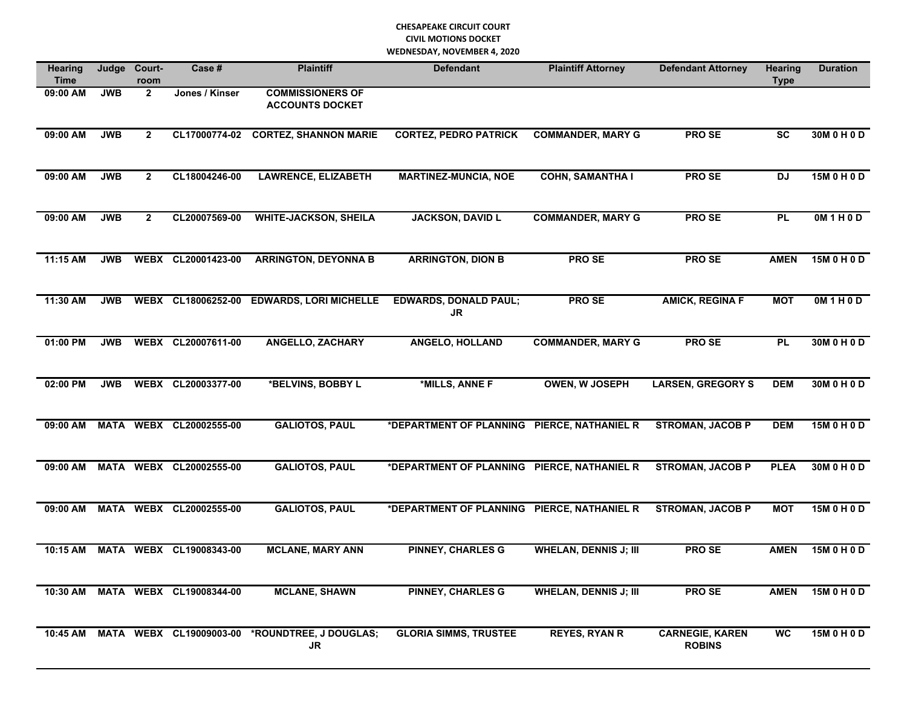| <b>Hearing</b><br>Time | Judge      | Court-<br>room | Case #                           | <b>Plaintiff</b>                                     | <b>Defendant</b>                            | <b>Plaintiff Attorney</b>    | <b>Defendant Attorney</b>               | <b>Hearing</b><br><b>Type</b> | <b>Duration</b> |
|------------------------|------------|----------------|----------------------------------|------------------------------------------------------|---------------------------------------------|------------------------------|-----------------------------------------|-------------------------------|-----------------|
| 09:00 AM               | <b>JWB</b> | $\overline{2}$ | Jones / Kinser                   | <b>COMMISSIONERS OF</b><br><b>ACCOUNTS DOCKET</b>    |                                             |                              |                                         |                               |                 |
| 09:00 AM               | <b>JWB</b> | $\overline{2}$ | CL17000774-02                    | <b>CORTEZ, SHANNON MARIE</b>                         | <b>CORTEZ, PEDRO PATRICK</b>                | <b>COMMANDER, MARY G</b>     | <b>PROSE</b>                            | <b>SC</b>                     | 30M 0 H 0 D     |
| 09:00 AM               | <b>JWB</b> | $\overline{2}$ | CL18004246-00                    | <b>LAWRENCE, ELIZABETH</b>                           | <b>MARTINEZ-MUNCIA, NOE</b>                 | <b>COHN, SAMANTHA I</b>      | <b>PROSE</b>                            | <b>DJ</b>                     | 15M 0 H 0 D     |
| 09:00 AM               | <b>JWB</b> | $\mathbf{2}$   | CL20007569-00                    | <b>WHITE-JACKSON, SHEILA</b>                         | <b>JACKSON, DAVID L</b>                     | <b>COMMANDER, MARY G</b>     | <b>PROSE</b>                            | <b>PL</b>                     | OM1H0D          |
| 11:15 AM               | <b>JWB</b> |                | WEBX CL20001423-00               | <b>ARRINGTON, DEYONNA B</b>                          | <b>ARRINGTON, DION B</b>                    | PRO SE                       | PRO SE                                  | <b>AMEN</b>                   | 15M 0 H 0 D     |
| 11:30 AM               | <b>JWB</b> |                | WEBX CL18006252-00               | <b>EDWARDS, LORI MICHELLE</b>                        | <b>EDWARDS, DONALD PAUL;</b><br>JR          | <b>PROSE</b>                 | <b>AMICK, REGINA F</b>                  | <b>MOT</b>                    | OM1H0D          |
| 01:00 PM               | <b>JWB</b> |                | WEBX CL20007611-00               | <b>ANGELLO, ZACHARY</b>                              | <b>ANGELO, HOLLAND</b>                      | <b>COMMANDER, MARY G</b>     | PRO SE                                  | <b>PL</b>                     | 30M 0 H 0 D     |
| 02:00 PM               | <b>JWB</b> |                | WEBX CL20003377-00               | *BELVINS, BOBBY L                                    | *MILLS, ANNE F                              | <b>OWEN, W JOSEPH</b>        | <b>LARSEN, GREGORY S</b>                | <b>DEM</b>                    | 30M0H0D         |
| 09:00 AM               |            |                | MATA WEBX CL20002555-00          | <b>GALIOTOS, PAUL</b>                                | *DEPARTMENT OF PLANNING PIERCE, NATHANIEL R |                              | <b>STROMAN, JACOB P</b>                 | <b>DEM</b>                    | 15M 0 H 0 D     |
| 09:00 AM               |            |                | MATA WEBX CL20002555-00          | <b>GALIOTOS, PAUL</b>                                | *DEPARTMENT OF PLANNING PIERCE, NATHANIEL R |                              | <b>STROMAN, JACOB P</b>                 | <b>PLEA</b>                   | 30M 0 H 0 D     |
| 09:00 AM               |            |                | MATA WEBX CL20002555-00          | <b>GALIOTOS, PAUL</b>                                | *DEPARTMENT OF PLANNING                     | <b>PIERCE, NATHANIEL R</b>   | <b>STROMAN, JACOB P</b>                 | <b>MOT</b>                    | 15M 0 H 0 D     |
| 10:15 AM               |            |                | MATA WEBX CL19008343-00          | <b>MCLANE, MARY ANN</b>                              | <b>PINNEY, CHARLES G</b>                    | <b>WHELAN, DENNIS J; III</b> | <b>PROSE</b>                            | <b>AMEN</b>                   | 15M 0 H 0 D     |
|                        |            |                | 10:30 AM MATA WEBX CL19008344-00 | <b>MCLANE, SHAWN</b>                                 | <b>PINNEY, CHARLES G</b>                    | <b>WHELAN, DENNIS J; III</b> | <b>PROSE</b>                            | <b>AMEN</b>                   | 15M 0 H 0 D     |
| 10:45 AM               |            |                |                                  | MATA WEBX CL19009003-00 *ROUNDTREE, J DOUGLAS;<br>JR | <b>GLORIA SIMMS, TRUSTEE</b>                | <b>REYES, RYAN R</b>         | <b>CARNEGIE, KAREN</b><br><b>ROBINS</b> | <b>WC</b>                     | 15M 0 H 0 D     |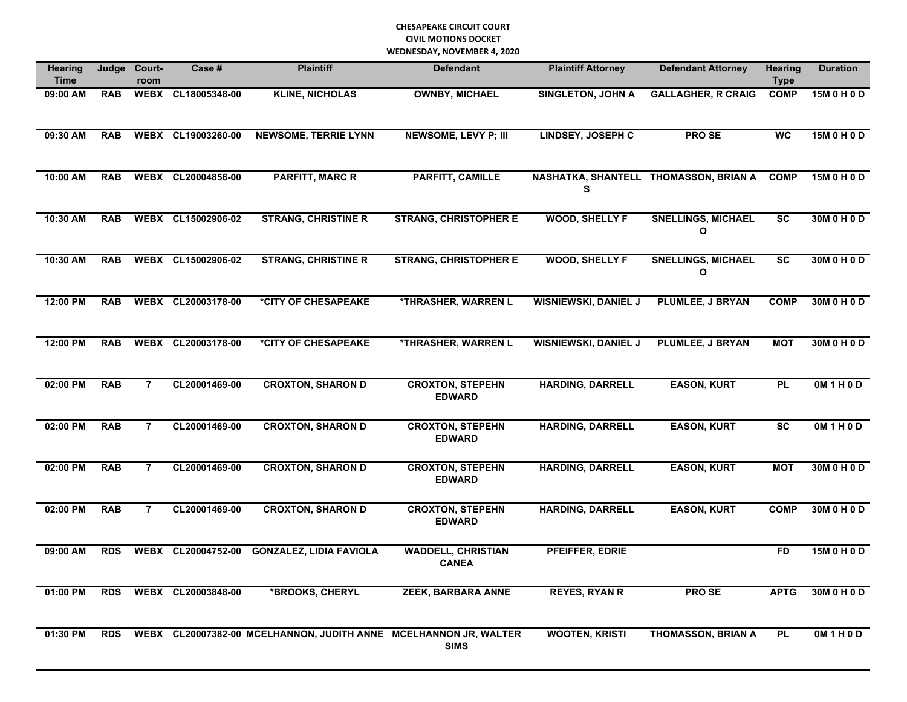| <b>Hearing</b><br><b>Time</b> | Judge      | Court-<br>room | Case #             | <b>Plaintiff</b>                                                 | <b>Defendant</b>                          | <b>Plaintiff Attorney</b>   | <b>Defendant Attorney</b>             | <b>Hearing</b><br><b>Type</b> | <b>Duration</b> |
|-------------------------------|------------|----------------|--------------------|------------------------------------------------------------------|-------------------------------------------|-----------------------------|---------------------------------------|-------------------------------|-----------------|
| 09:00 AM                      | <b>RAB</b> |                | WEBX CL18005348-00 | <b>KLINE, NICHOLAS</b>                                           | <b>OWNBY, MICHAEL</b>                     | <b>SINGLETON, JOHN A</b>    | <b>GALLAGHER, R CRAIG</b>             | <b>COMP</b>                   | 15M 0 H 0 D     |
| 09:30 AM                      | <b>RAB</b> |                | WEBX CL19003260-00 | <b>NEWSOME, TERRIE LYNN</b>                                      | <b>NEWSOME, LEVY P; III</b>               | <b>LINDSEY, JOSEPH C</b>    | PRO SE                                | <b>WC</b>                     | 15M 0 H 0 D     |
| 10:00 AM                      | <b>RAB</b> |                | WEBX CL20004856-00 | <b>PARFITT, MARC R</b>                                           | <b>PARFITT, CAMILLE</b>                   | s                           | NASHATKA, SHANTELL THOMASSON, BRIAN A | <b>COMP</b>                   | 15M 0 H 0 D     |
| 10:30 AM                      | <b>RAB</b> |                | WEBX CL15002906-02 | <b>STRANG, CHRISTINE R</b>                                       | <b>STRANG, CHRISTOPHER E</b>              | <b>WOOD, SHELLY F</b>       | <b>SNELLINGS, MICHAEL</b><br>O        | <b>SC</b>                     | 30M 0 H 0 D     |
| 10:30 AM                      | <b>RAB</b> |                | WEBX CL15002906-02 | <b>STRANG, CHRISTINE R</b>                                       | <b>STRANG, CHRISTOPHER E</b>              | <b>WOOD, SHELLY F</b>       | <b>SNELLINGS, MICHAEL</b><br>O        | <b>SC</b>                     | 30M 0 H 0 D     |
| 12:00 PM                      | <b>RAB</b> |                | WEBX CL20003178-00 | *CITY OF CHESAPEAKE                                              | <b>*THRASHER, WARREN L</b>                | <b>WISNIEWSKI, DANIEL J</b> | <b>PLUMLEE, J BRYAN</b>               | <b>COMP</b>                   | 30M 0 H 0 D     |
| 12:00 PM                      | <b>RAB</b> |                | WEBX CL20003178-00 | *CITY OF CHESAPEAKE                                              | *THRASHER, WARREN L                       | <b>WISNIEWSKI, DANIEL J</b> | PLUMLEE, J BRYAN                      | <b>MOT</b>                    | 30M 0 H 0 D     |
| 02:00 PM                      | <b>RAB</b> | $\overline{7}$ | CL20001469-00      | <b>CROXTON, SHARON D</b>                                         | <b>CROXTON, STEPEHN</b><br><b>EDWARD</b>  | <b>HARDING, DARRELL</b>     | <b>EASON, KURT</b>                    | <b>PL</b>                     | OM1H0D          |
| 02:00 PM                      | <b>RAB</b> | $\overline{7}$ | CL20001469-00      | <b>CROXTON, SHARON D</b>                                         | <b>CROXTON, STEPEHN</b><br><b>EDWARD</b>  | <b>HARDING, DARRELL</b>     | <b>EASON, KURT</b>                    | <b>SC</b>                     | OM1H0D          |
| 02:00 PM                      | <b>RAB</b> | $\overline{7}$ | CL20001469-00      | <b>CROXTON, SHARON D</b>                                         | <b>CROXTON, STEPEHN</b><br><b>EDWARD</b>  | <b>HARDING, DARRELL</b>     | <b>EASON, KURT</b>                    | <b>MOT</b>                    | 30M 0 H 0 D     |
| 02:00 PM                      | <b>RAB</b> | $\overline{7}$ | CL20001469-00      | <b>CROXTON, SHARON D</b>                                         | <b>CROXTON, STEPEHN</b><br><b>EDWARD</b>  | <b>HARDING, DARRELL</b>     | <b>EASON, KURT</b>                    | <b>COMP</b>                   | 30M 0 H 0 D     |
| 09:00 AM                      | <b>RDS</b> | <b>WEBX</b>    | CL20004752-00      | <b>GONZALEZ, LIDIA FAVIOLA</b>                                   | <b>WADDELL, CHRISTIAN</b><br><b>CANEA</b> | PFEIFFER, EDRIE             |                                       | <b>FD</b>                     | 15M 0 H 0 D     |
| 01:00 PM                      | <b>RDS</b> |                | WEBX CL20003848-00 | *BROOKS, CHERYL                                                  | <b>ZEEK, BARBARA ANNE</b>                 | <b>REYES, RYAN R</b>        | <b>PROSE</b>                          | <b>APTG</b>                   | 30M 0 H 0 D     |
| 01:30 PM                      | <b>RDS</b> |                |                    | WEBX CL20007382-00 MCELHANNON, JUDITH ANNE MCELHANNON JR, WALTER | <b>SIMS</b>                               | <b>WOOTEN, KRISTI</b>       | <b>THOMASSON, BRIAN A</b>             | <b>PL</b>                     | OM1H0D          |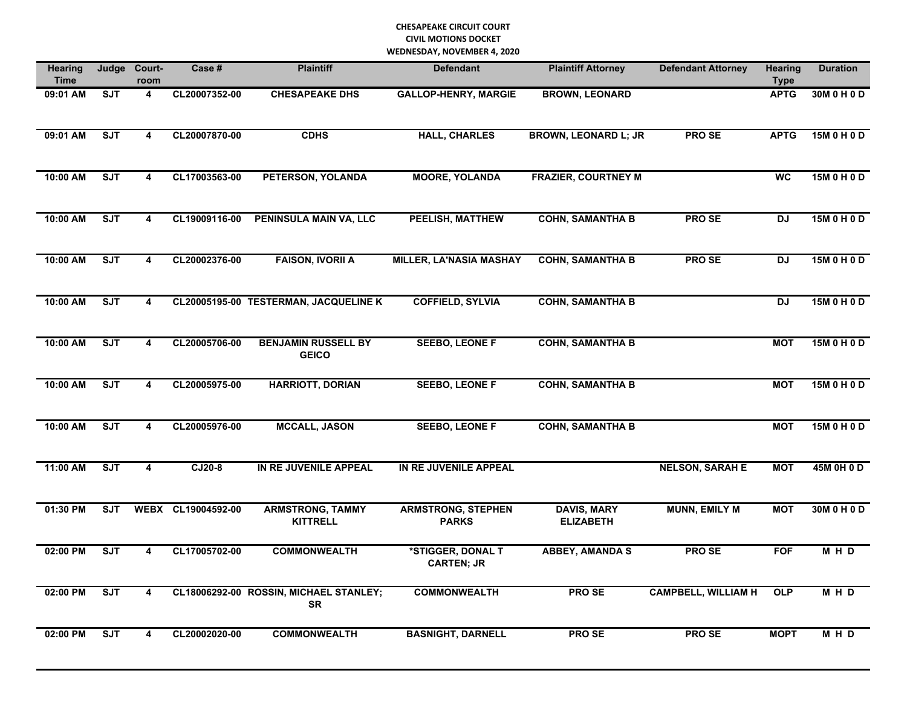| <b>Hearing</b><br><b>Time</b> | Judge      | Court-<br>room          | Case #             | <b>Plaintiff</b>                                    | <b>Defendant</b>                          | <b>Plaintiff Attorney</b>              | <b>Defendant Attorney</b>  | <b>Hearing</b><br><b>Type</b> | <b>Duration</b> |
|-------------------------------|------------|-------------------------|--------------------|-----------------------------------------------------|-------------------------------------------|----------------------------------------|----------------------------|-------------------------------|-----------------|
| 09:01 AM                      | <b>SJT</b> | $\overline{\mathbf{4}}$ | CL20007352-00      | <b>CHESAPEAKE DHS</b>                               | <b>GALLOP-HENRY, MARGIE</b>               | <b>BROWN, LEONARD</b>                  |                            | <b>APTG</b>                   | 30M 0 H 0 D     |
| 09:01 AM                      | <b>SJT</b> | $\overline{\mathbf{4}}$ | CL20007870-00      | <b>CDHS</b>                                         | <b>HALL, CHARLES</b>                      | <b>BROWN, LEONARD L; JR</b>            | <b>PROSE</b>               | <b>APTG</b>                   | 15M 0 H 0 D     |
| 10:00 AM                      | <b>SJT</b> | 4                       | CL17003563-00      | PETERSON, YOLANDA                                   | <b>MOORE, YOLANDA</b>                     | <b>FRAZIER, COURTNEY M</b>             |                            | <b>WC</b>                     | 15M 0 H 0 D     |
| 10:00 AM                      | SJT        | 4                       | CL19009116-00      | PENINSULA MAIN VA, LLC                              | <b>PEELISH, MATTHEW</b>                   | <b>COHN, SAMANTHA B</b>                | <b>PRO SE</b>              | <b>DJ</b>                     | 15M 0 H 0 D     |
| 10:00 AM                      | <b>SJT</b> | $\overline{\mathbf{4}}$ | CL20002376-00      | <b>FAISON, IVORII A</b>                             | <b>MILLER, LA'NASIA MASHAY</b>            | <b>COHN, SAMANTHA B</b>                | <b>PROSE</b>               | <b>DJ</b>                     | 15M 0 H 0 D     |
| 10:00 AM                      | SJT        | $\overline{\mathbf{4}}$ |                    | CL20005195-00 TESTERMAN, JACQUELINE K               | <b>COFFIELD, SYLVIA</b>                   | <b>COHN, SAMANTHA B</b>                |                            | $\overline{D}$                | 15M 0 H 0 D     |
| 10:00 AM                      | <b>SJT</b> | $\overline{\mathbf{4}}$ | CL20005706-00      | <b>BENJAMIN RUSSELL BY</b><br><b>GEICO</b>          | <b>SEEBO, LEONE F</b>                     | <b>COHN, SAMANTHA B</b>                |                            | <b>MOT</b>                    | 15M 0 H 0 D     |
| 10:00 AM                      | ST         | $\overline{4}$          | CL20005975-00      | <b>HARRIOTT, DORIAN</b>                             | <b>SEEBO, LEONE F</b>                     | <b>COHN, SAMANTHA B</b>                |                            | <b>MOT</b>                    | 15M 0 H 0 D     |
| 10:00 AM                      | <b>SJT</b> | $\overline{\mathbf{4}}$ | CL20005976-00      | <b>MCCALL, JASON</b>                                | <b>SEEBO, LEONE F</b>                     | <b>COHN, SAMANTHA B</b>                |                            | <b>MOT</b>                    | 15M 0 H 0 D     |
| 11:00 AM                      | <b>SJT</b> | $\overline{\mathbf{4}}$ | CJ20-8             | IN RE JUVENILE APPEAL                               | IN RE JUVENILE APPEAL                     |                                        | <b>NELSON, SARAH E</b>     | <b>MOT</b>                    | 45M 0H 0D       |
| 01:30 PM                      | ST         |                         | WEBX CL19004592-00 | <b>ARMSTRONG, TAMMY</b><br><b>KITTRELL</b>          | <b>ARMSTRONG, STEPHEN</b><br><b>PARKS</b> | <b>DAVIS, MARY</b><br><b>ELIZABETH</b> | <b>MUNN, EMILY M</b>       | <b>MOT</b>                    | 30M 0 H 0 D     |
| 02:00 PM                      | <b>SJT</b> | 4                       | CL17005702-00      | <b>COMMONWEALTH</b>                                 | *STIGGER, DONAL T<br><b>CARTEN; JR</b>    | <b>ABBEY, AMANDA S</b>                 | <b>PROSE</b>               | <b>FOF</b>                    | M H D           |
| 02:00 PM                      | SJT        | $\overline{\mathbf{4}}$ |                    | CL18006292-00 ROSSIN, MICHAEL STANLEY;<br><b>SR</b> | <b>COMMONWEALTH</b>                       | <b>PROSE</b>                           | <b>CAMPBELL, WILLIAM H</b> | <b>OLP</b>                    | M H D           |
| 02:00 PM                      | <b>SJT</b> | $\overline{\mathbf{4}}$ | CL20002020-00      | <b>COMMONWEALTH</b>                                 | <b>BASNIGHT, DARNELL</b>                  | <b>PROSE</b>                           | <b>PROSE</b>               | <b>MOPT</b>                   | M H D           |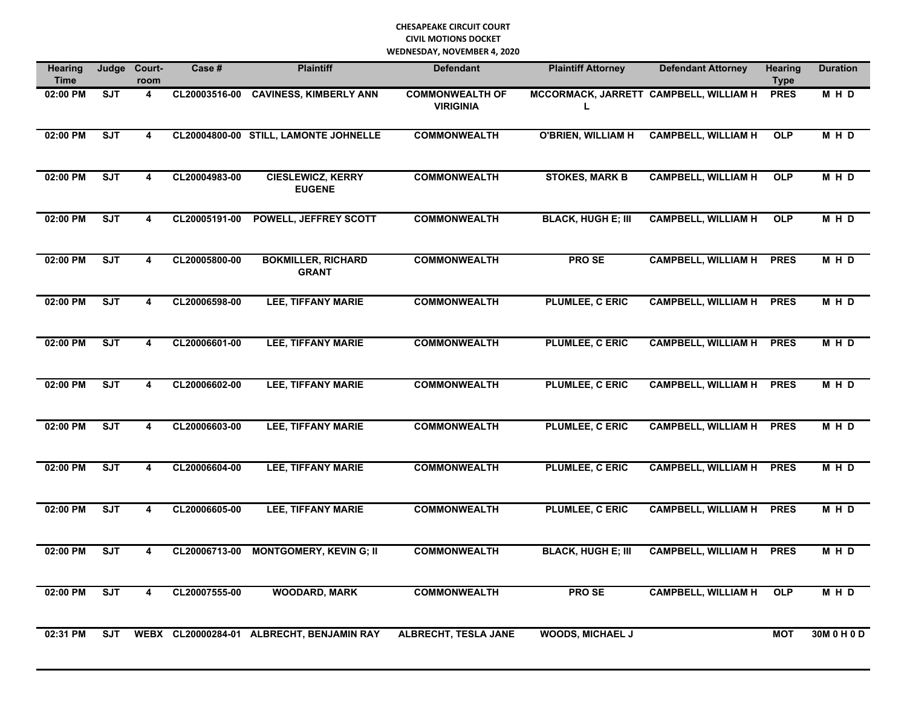| <b>Hearing</b><br><b>Time</b> |            | Judge Court-<br>room    | Case #        | <b>Plaintiff</b>                          | <b>Defendant</b>                           | <b>Plaintiff Attorney</b>                   | <b>Defendant Attorney</b>  | <b>Hearing</b><br><b>Type</b> | <b>Duration</b> |
|-------------------------------|------------|-------------------------|---------------|-------------------------------------------|--------------------------------------------|---------------------------------------------|----------------------------|-------------------------------|-----------------|
| 02:00 PM                      | <b>SJT</b> | 4                       | CL20003516-00 | <b>CAVINESS, KIMBERLY ANN</b>             | <b>COMMONWEALTH OF</b><br><b>VIRIGINIA</b> | MCCORMACK, JARRETT CAMPBELL, WILLIAM H<br>L |                            | <b>PRES</b>                   | M H D           |
| 02:00 PM                      | <b>SJT</b> | $\overline{\mathbf{4}}$ |               | CL20004800-00 STILL, LAMONTE JOHNELLE     | <b>COMMONWEALTH</b>                        | <b>O'BRIEN, WILLIAM H</b>                   | <b>CAMPBELL, WILLIAM H</b> | <b>OLP</b>                    | MHD             |
| 02:00 PM                      | <b>SJT</b> | $\overline{4}$          | CL20004983-00 | <b>CIESLEWICZ, KERRY</b><br><b>EUGENE</b> | <b>COMMONWEALTH</b>                        | <b>STOKES, MARK B</b>                       | <b>CAMPBELL, WILLIAM H</b> | <b>OLP</b>                    | M H D           |
| 02:00 PM                      | <b>SJT</b> | 4                       | CL20005191-00 | <b>POWELL, JEFFREY SCOTT</b>              | <b>COMMONWEALTH</b>                        | <b>BLACK, HUGH E; III</b>                   | <b>CAMPBELL, WILLIAM H</b> | <b>OLP</b>                    | M H D           |
| 02:00 PM                      | <b>SJT</b> | $\overline{\mathbf{4}}$ | CL20005800-00 | <b>BOKMILLER, RICHARD</b><br><b>GRANT</b> | <b>COMMONWEALTH</b>                        | <b>PROSE</b>                                | <b>CAMPBELL, WILLIAM H</b> | <b>PRES</b>                   | M H D           |
| 02:00 PM                      | <b>SJT</b> | $\overline{\mathbf{4}}$ | CL20006598-00 | <b>LEE, TIFFANY MARIE</b>                 | <b>COMMONWEALTH</b>                        | <b>PLUMLEE, C ERIC</b>                      | <b>CAMPBELL, WILLIAM H</b> | <b>PRES</b>                   | M H D           |
| 02:00 PM                      | <b>SJT</b> | 4                       | CL20006601-00 | <b>LEE, TIFFANY MARIE</b>                 | <b>COMMONWEALTH</b>                        | <b>PLUMLEE, C ERIC</b>                      | <b>CAMPBELL, WILLIAM H</b> | <b>PRES</b>                   | M H D           |
| 02:00 PM                      | ST         | $\overline{\mathbf{4}}$ | CL20006602-00 | <b>LEE, TIFFANY MARIE</b>                 | <b>COMMONWEALTH</b>                        | <b>PLUMLEE, C ERIC</b>                      | <b>CAMPBELL, WILLIAM H</b> | <b>PRES</b>                   | M H D           |
| 02:00 PM                      | <b>SJT</b> | 4                       | CL20006603-00 | <b>LEE, TIFFANY MARIE</b>                 | <b>COMMONWEALTH</b>                        | <b>PLUMLEE, C ERIC</b>                      | <b>CAMPBELL, WILLIAM H</b> | <b>PRES</b>                   | M H D           |
| 02:00 PM                      | ST         | 4                       | CL20006604-00 | <b>LEE, TIFFANY MARIE</b>                 | <b>COMMONWEALTH</b>                        | <b>PLUMLEE, C ERIC</b>                      | <b>CAMPBELL, WILLIAM H</b> | <b>PRES</b>                   | <b>MHD</b>      |
| 02:00 PM                      | ST         | $\overline{\mathbf{4}}$ | CL20006605-00 | <b>LEE, TIFFANY MARIE</b>                 | <b>COMMONWEALTH</b>                        | <b>PLUMLEE, C ERIC</b>                      | <b>CAMPBELL, WILLIAM H</b> | <b>PRES</b>                   | M H D           |
| 02:00 PM                      | <b>SJT</b> | 4                       | CL20006713-00 | <b>MONTGOMERY, KEVIN G; II</b>            | <b>COMMONWEALTH</b>                        | <b>BLACK, HUGH E; III</b>                   | <b>CAMPBELL, WILLIAM H</b> | <b>PRES</b>                   | M H D           |
| 02:00 PM                      | <b>SJT</b> | $\overline{\mathbf{4}}$ | CL20007555-00 | <b>WOODARD, MARK</b>                      | <b>COMMONWEALTH</b>                        | <b>PROSE</b>                                | <b>CAMPBELL, WILLIAM H</b> | <b>OLP</b>                    | M H D           |
| 02:31 PM                      | <b>SJT</b> |                         |               | WEBX CL20000284-01 ALBRECHT, BENJAMIN RAY | <b>ALBRECHT, TESLA JANE</b>                | <b>WOODS, MICHAEL J</b>                     |                            | <b>MOT</b>                    | 30M 0 H 0 D     |